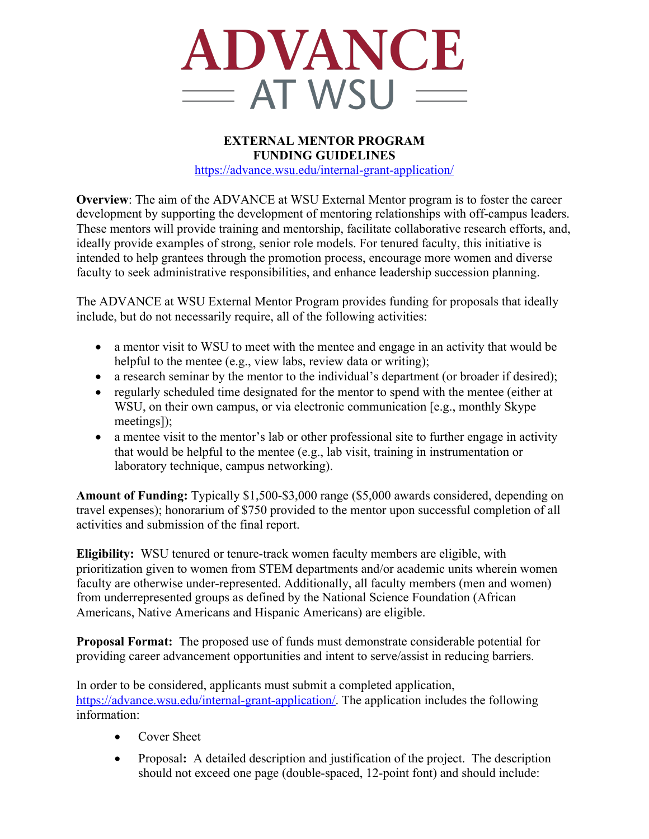

## **EXTERNAL MENTOR PROGRAM FUNDING GUIDELINES** https://advance.wsu.edu/internal-grant-application/

**Overview**: The aim of the ADVANCE at WSU External Mentor program is to foster the career development by supporting the development of mentoring relationships with off-campus leaders. These mentors will provide training and mentorship, facilitate collaborative research efforts, and, ideally provide examples of strong, senior role models. For tenured faculty, this initiative is intended to help grantees through the promotion process, encourage more women and diverse faculty to seek administrative responsibilities, and enhance leadership succession planning.

The ADVANCE at WSU External Mentor Program provides funding for proposals that ideally include, but do not necessarily require, all of the following activities:

- a mentor visit to WSU to meet with the mentee and engage in an activity that would be helpful to the mentee (e.g., view labs, review data or writing);
- a research seminar by the mentor to the individual's department (or broader if desired);
- regularly scheduled time designated for the mentor to spend with the mentee (either at WSU, on their own campus, or via electronic communication [e.g., monthly Skype meetings]);
- a mentee visit to the mentor's lab or other professional site to further engage in activity that would be helpful to the mentee (e.g., lab visit, training in instrumentation or laboratory technique, campus networking).

**Amount of Funding:** Typically \$1,500-\$3,000 range (\$5,000 awards considered, depending on travel expenses); honorarium of \$750 provided to the mentor upon successful completion of all activities and submission of the final report.

**Eligibility:** WSU tenured or tenure-track women faculty members are eligible, with prioritization given to women from STEM departments and/or academic units wherein women faculty are otherwise under-represented. Additionally, all faculty members (men and women) from underrepresented groups as defined by the National Science Foundation (African Americans, Native Americans and Hispanic Americans) are eligible.

**Proposal Format:** The proposed use of funds must demonstrate considerable potential for providing career advancement opportunities and intent to serve/assist in reducing barriers.

In order to be considered, applicants must submit a completed application, https://advance.wsu.edu/internal-grant-application/. The application includes the following information:

- Cover Sheet
- Proposal**:** A detailed description and justification of the project. The description should not exceed one page (double-spaced, 12-point font) and should include: